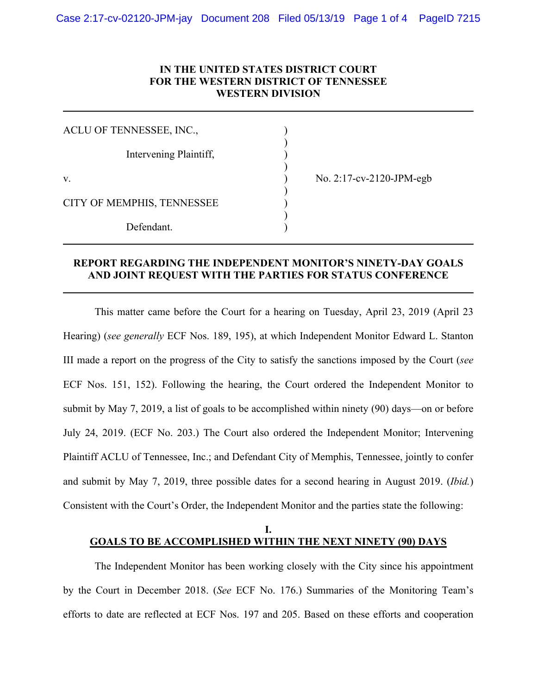## **IN THE UNITED STATES DISTRICT COURT FOR THE WESTERN DISTRICT OF TENNESSEE WESTERN DIVISION**

| ACLU OF TENNESSEE, INC.,   |                                 |
|----------------------------|---------------------------------|
| Intervening Plaintiff,     |                                 |
| V.                         | No. $2:17$ -cv- $2120$ -JPM-egb |
| CITY OF MEMPHIS, TENNESSEE |                                 |
| Defendant.                 |                                 |

## **REPORT REGARDING THE INDEPENDENT MONITOR'S NINETY-DAY GOALS AND JOINT REQUEST WITH THE PARTIES FOR STATUS CONFERENCE**

This matter came before the Court for a hearing on Tuesday, April 23, 2019 (April 23 Hearing) (*see generally* ECF Nos. 189, 195), at which Independent Monitor Edward L. Stanton III made a report on the progress of the City to satisfy the sanctions imposed by the Court (*see* ECF Nos. 151, 152). Following the hearing, the Court ordered the Independent Monitor to submit by May 7, 2019, a list of goals to be accomplished within ninety (90) days—on or before July 24, 2019. (ECF No. 203.) The Court also ordered the Independent Monitor; Intervening Plaintiff ACLU of Tennessee, Inc.; and Defendant City of Memphis, Tennessee, jointly to confer and submit by May 7, 2019, three possible dates for a second hearing in August 2019. (*Ibid.*) Consistent with the Court's Order, the Independent Monitor and the parties state the following:

### **I. GOALS TO BE ACCOMPLISHED WITHIN THE NEXT NINETY (90) DAYS**

The Independent Monitor has been working closely with the City since his appointment by the Court in December 2018. (*See* ECF No. 176.) Summaries of the Monitoring Team's efforts to date are reflected at ECF Nos. 197 and 205. Based on these efforts and cooperation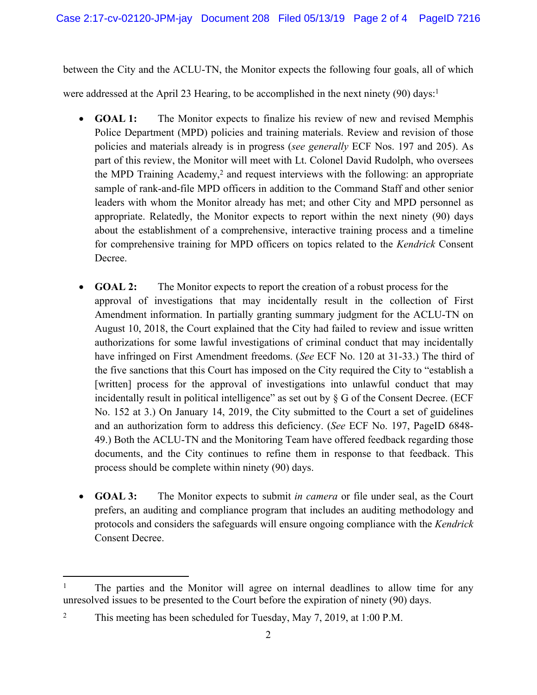between the City and the ACLU-TN, the Monitor expects the following four goals, all of which

were addressed at the April 23 Hearing, to be accomplished in the next ninety (90) days:<sup>1</sup>

- **GOAL 1:** The Monitor expects to finalize his review of new and revised Memphis Police Department (MPD) policies and training materials. Review and revision of those policies and materials already is in progress (*see generally* ECF Nos. 197 and 205). As part of this review, the Monitor will meet with Lt. Colonel David Rudolph, who oversees the MPD Training Academy,<sup>2</sup> and request interviews with the following: an appropriate sample of rank-and-file MPD officers in addition to the Command Staff and other senior leaders with whom the Monitor already has met; and other City and MPD personnel as appropriate. Relatedly, the Monitor expects to report within the next ninety (90) days about the establishment of a comprehensive, interactive training process and a timeline for comprehensive training for MPD officers on topics related to the *Kendrick* Consent Decree.
- **GOAL 2:** The Monitor expects to report the creation of a robust process for the approval of investigations that may incidentally result in the collection of First Amendment information. In partially granting summary judgment for the ACLU-TN on August 10, 2018, the Court explained that the City had failed to review and issue written authorizations for some lawful investigations of criminal conduct that may incidentally have infringed on First Amendment freedoms. (*See* ECF No. 120 at 31-33.) The third of the five sanctions that this Court has imposed on the City required the City to "establish a [written] process for the approval of investigations into unlawful conduct that may incidentally result in political intelligence" as set out by § G of the Consent Decree. (ECF No. 152 at 3.) On January 14, 2019, the City submitted to the Court a set of guidelines and an authorization form to address this deficiency. (*See* ECF No. 197, PageID 6848- 49.) Both the ACLU-TN and the Monitoring Team have offered feedback regarding those documents, and the City continues to refine them in response to that feedback. This process should be complete within ninety (90) days.
- **GOAL 3:** The Monitor expects to submit *in camera* or file under seal, as the Court prefers, an auditing and compliance program that includes an auditing methodology and protocols and considers the safeguards will ensure ongoing compliance with the *Kendrick* Consent Decree.

<sup>1</sup> The parties and the Monitor will agree on internal deadlines to allow time for any unresolved issues to be presented to the Court before the expiration of ninety (90) days.

<sup>2</sup> This meeting has been scheduled for Tuesday, May 7, 2019, at 1:00 P.M.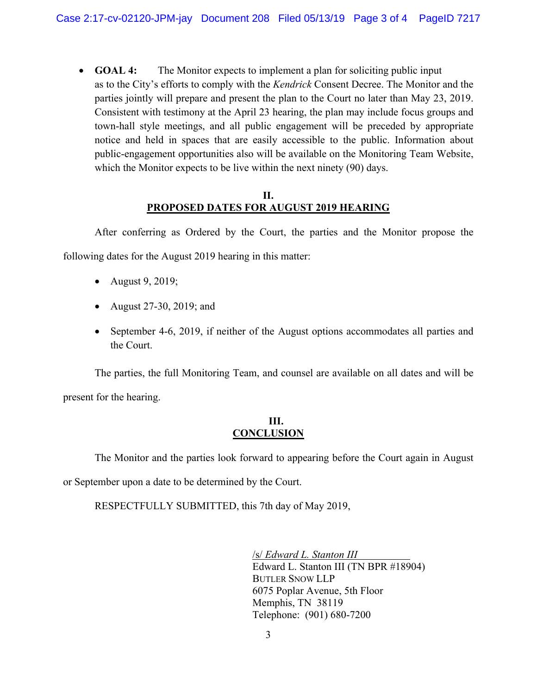• **GOAL 4:** The Monitor expects to implement a plan for soliciting public input as to the City's efforts to comply with the *Kendrick* Consent Decree. The Monitor and the parties jointly will prepare and present the plan to the Court no later than May 23, 2019. Consistent with testimony at the April 23 hearing, the plan may include focus groups and town-hall style meetings, and all public engagement will be preceded by appropriate notice and held in spaces that are easily accessible to the public. Information about public-engagement opportunities also will be available on the Monitoring Team Website, which the Monitor expects to be live within the next ninety (90) days.

### **II. PROPOSED DATES FOR AUGUST 2019 HEARING**

After conferring as Ordered by the Court, the parties and the Monitor propose the following dates for the August 2019 hearing in this matter:

- August 9, 2019;
- August 27-30, 2019; and
- September 4-6, 2019, if neither of the August options accommodates all parties and the Court.

The parties, the full Monitoring Team, and counsel are available on all dates and will be present for the hearing.

# **III. CONCLUSION**

The Monitor and the parties look forward to appearing before the Court again in August or September upon a date to be determined by the Court.

RESPECTFULLY SUBMITTED, this 7th day of May 2019,

/s/ *Edward L. Stanton III* Edward L. Stanton III (TN BPR #18904) BUTLER SNOW LLP 6075 Poplar Avenue, 5th Floor Memphis, TN 38119 Telephone: (901) 680-7200